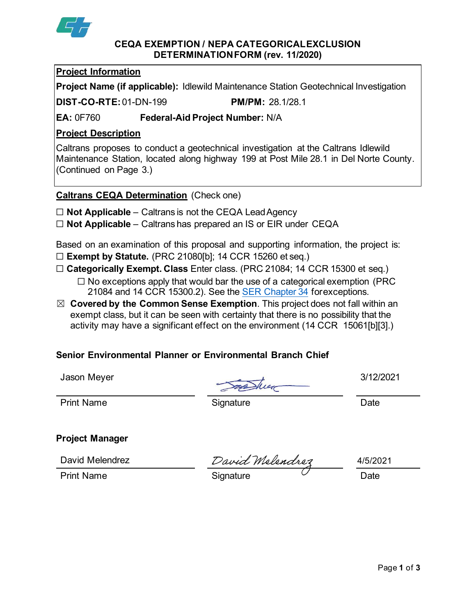

#### **CEQA EXEMPTION / NEPA CATEGORICALEXCLUSION DETERMINATIONFORM (rev. 11/2020)**

## **Project Information**

**Project Name (if applicable):** Idlewild Maintenance Station Geotechnical Investigation

**DIST-CO-RTE:**01-DN-199 **PM/PM:** 28.1/28.1

**EA:** 0F760 **Federal-Aid Project Number:** N/A

## **Project Description**

Caltrans proposes to conduct a geotechnical investigation at the Caltrans Idlewild Maintenance Station, located along highway 199 at Post Mile 28.1 in Del Norte County. (Continued on Page 3.)

**Caltrans CEQA Determination** (Check one)

- ☐ **Not Applicable**  Caltrans is not the CEQA LeadAgency
- ☐ **Not Applicable**  Caltrans has prepared an IS or EIR under CEQA

Based on an examination of this proposal and supporting information, the project is: ☐ **Exempt by Statute.** (PRC 21080[b]; 14 CCR 15260 et seq.)

- ☐ **Categorically Exempt. Class** Enter class. (PRC 21084; 14 CCR 15300 et seq.)
	- ☐ No exceptions apply that would bar the use of a categorical exemption (PRC 21084 and 14 CCR 15300.2). See the [SER Chapter 34](https://dot.ca.gov/programs/environmental-analysis/standard-environmental-reference-ser/volume-1-guidance-for-compliance/ch-34-exemptions-to-ceqa#except) forexceptions.
- ☒ **Covered by the Common Sense Exemption**. This project does not fall within an exempt class, but it can be seen with certainty that there is no possibility that the activity may have a significant effect on the environment (14 CCR 15061[b][3].)

# **Senior Environmental Planner or Environmental Branch Chief**

Jason Meyer 3/12/2021

Print Name **Signature** Signature Date

**Project Manager**

Print Name **Signature** Signature Contract Date

David Melendrez David Melendrez 4/5/2021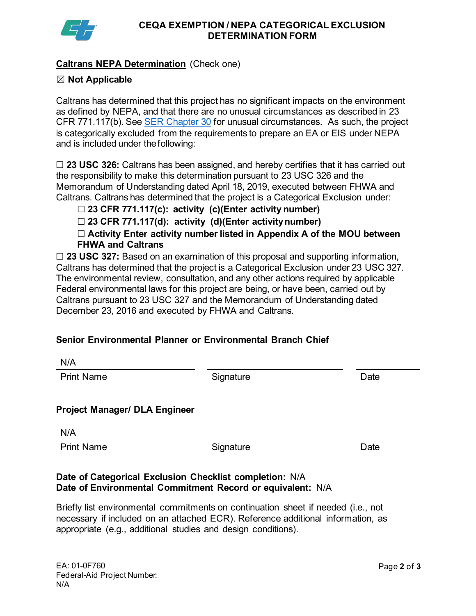

#### **CEQA EXEMPTION / NEPA CATEGORICAL EXCLUSION DETERMINATION FORM**

## **Caltrans NEPA Determination** (Check one)

## ☒ **Not Applicable**

Caltrans has determined that this project has no significant impacts on the environment as defined by NEPA, and that there are no unusual circumstances as described in 23 CFR 771.117(b). See [SER Chapter 30](https://dot.ca.gov/programs/environmental-analysis/standard-environmental-reference-ser/volume-1-guidance-for-compliance/ch-30-categorical-exclusions#exception) for unusual circumstances. As such, the project is categorically excluded from the requirements to prepare an EA or EIS under NEPA and is included under thefollowing:

☐ **23 USC 326:** Caltrans has been assigned, and hereby certifies that it has carried out the responsibility to make this determination pursuant to 23 USC 326 and the Memorandum of Understanding dated April 18, 2019, executed between FHWA and Caltrans. Caltrans has determined that the project is a Categorical Exclusion under:

☐ **23 CFR 771.117(c): activity (c)(Enter activity number)**

☐ **23 CFR 771.117(d): activity (d)(Enter activitynumber)**

☐ **Activity Enter activity number listed in Appendix A of the MOU between FHWA and Caltrans**

☐ **23 USC 327:** Based on an examination of this proposal and supporting information, Caltrans has determined that the project is a Categorical Exclusion under 23 USC 327. The environmental review, consultation, and any other actions required by applicable Federal environmental laws for this project are being, or have been, carried out by Caltrans pursuant to 23 USC 327 and the Memorandum of Understanding dated December 23, 2016 and executed by FHWA and Caltrans.

# **Senior Environmental Planner or Environmental Branch Chief**

| N/A                                                     |           |      |
|---------------------------------------------------------|-----------|------|
| <b>Print Name</b>                                       | Signature | Date |
|                                                         |           |      |
| <b>Project Manager/ DLA Engineer</b>                    |           |      |
| N/A                                                     |           |      |
| <b>Print Name</b>                                       | Signature | Date |
|                                                         |           |      |
| Date of Categorical Exclusion Checklist completion: N/A |           |      |

#### **Date of Categorical Exclusion Checklist completion:** N/A **Date of Environmental Commitment Record or equivalent:** N/A

Briefly list environmental commitments on continuation sheet if needed (i.e., not necessary if included on an attached ECR). Reference additional information, as appropriate (e.g., additional studies and design conditions).